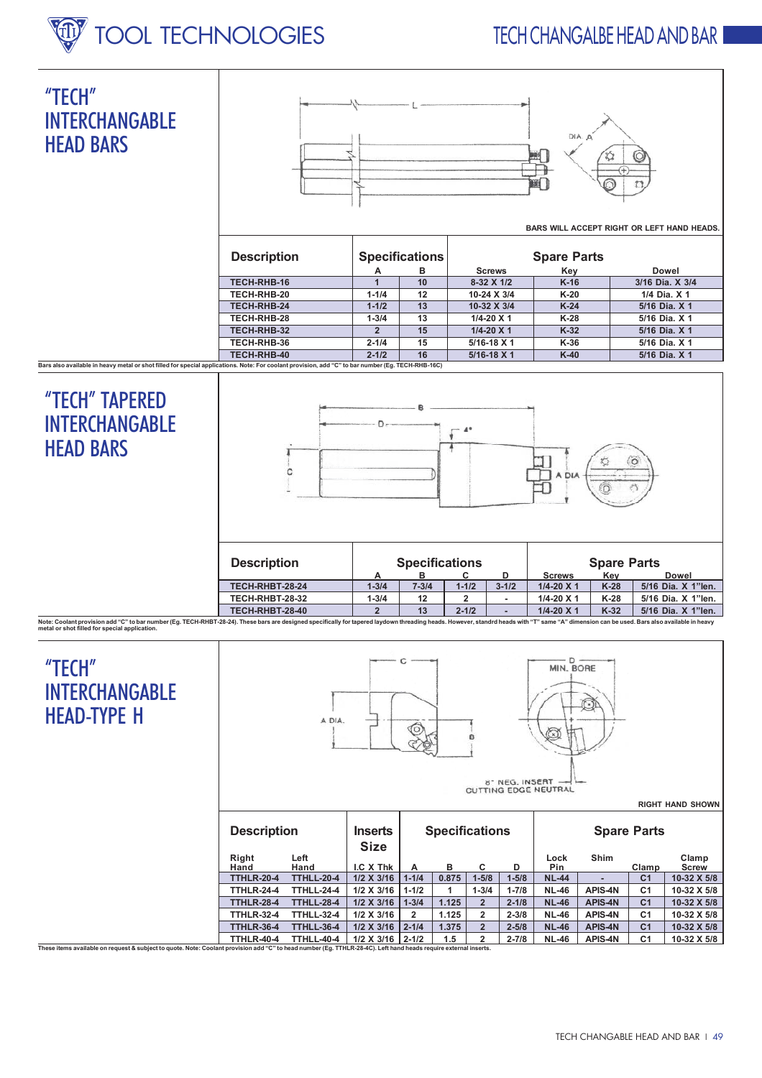## **TFCH CHANGAIRE HEAD AND BAR**



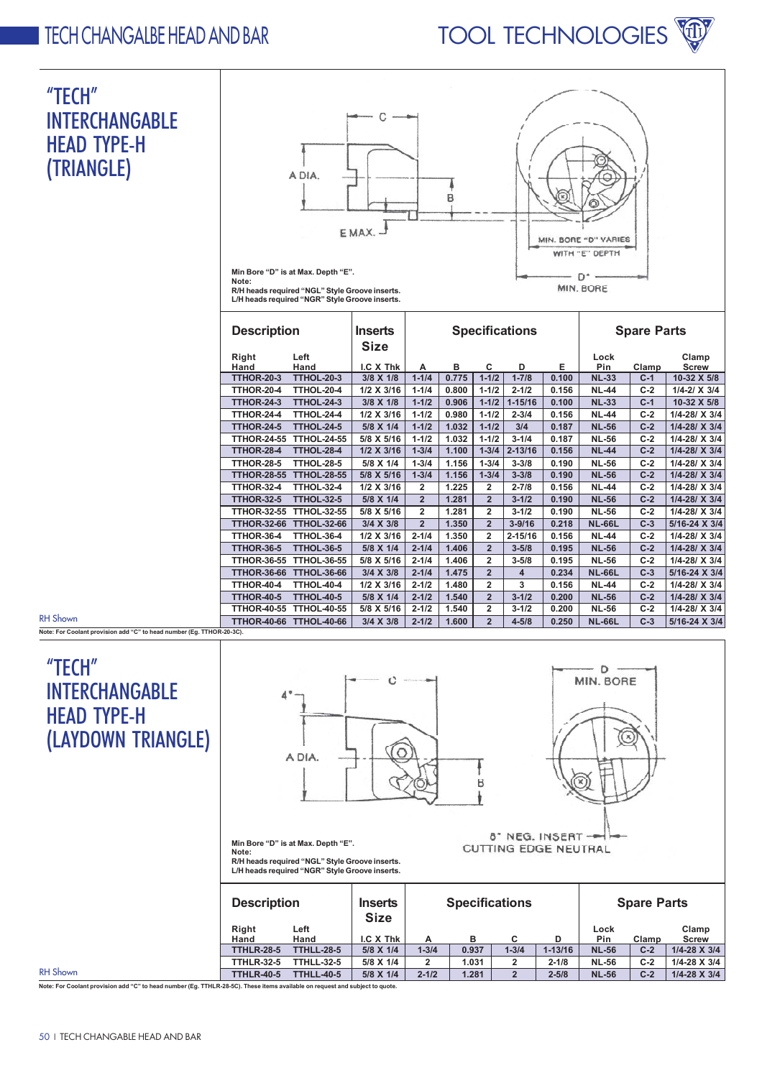## **TOOL TECHNOLOGIES**

## **TECH CHANGAIBE HEAD AND BAR**

| "TECH"<br><b>INTERCHANGABLE</b><br><b>HEAD TYPE-H</b><br>(TRIANGLE) | Note:                                                                        | A DIA.<br>Min Bore "D" is at Max. Depth "E".<br>R/H heads required "NGL" Style Groove inserts.<br>L/H heads required "NGR" Style Groove inserts. | С<br>E MAX.              |                        | B                  |                        |                        |                | MIN. BORE "D" VARIES<br>WITH "E" DEPTH<br>D*<br>MIN. BORE |                |                                |
|---------------------------------------------------------------------|------------------------------------------------------------------------------|--------------------------------------------------------------------------------------------------------------------------------------------------|--------------------------|------------------------|--------------------|------------------------|------------------------|----------------|-----------------------------------------------------------|----------------|--------------------------------|
|                                                                     | <b>Specifications</b><br><b>Description</b><br><b>Inserts</b><br><b>Size</b> |                                                                                                                                                  |                          |                        | <b>Spare Parts</b> |                        |                        |                |                                                           |                |                                |
|                                                                     | Right                                                                        | Left                                                                                                                                             |                          |                        |                    |                        |                        |                | Lock                                                      |                | Clamp                          |
|                                                                     | Hand                                                                         | Hand                                                                                                                                             | I.C X Thk                | A                      | в                  | С                      | D                      | Е              | Pin                                                       | Clamp          | <b>Screw</b>                   |
|                                                                     | <b>TTHOR-20-3</b>                                                            | <b>TTHOL-20-3</b>                                                                                                                                | 3/8 X 1/8                | $1 - 1/4$              | 0.775              | $1 - 1/2$              | $1 - 7/8$              | 0.100          | <b>NL-33</b>                                              | $C-1$          | 10-32 X 5/8                    |
|                                                                     | <b>TTHOR-20-4</b>                                                            | <b>TTHOL-20-4</b>                                                                                                                                | 1/2 X 3/16               | $1 - 1/4$              | 0.800              | $1 - 1/2$              | $2 - 1/2$              | 0.156          | <b>NL-44</b>                                              | $C-2$          | $1/4 - 2/$ X 3/4               |
|                                                                     | <b>TTHOR-24-3</b>                                                            | <b>TTHOL-24-3</b>                                                                                                                                | 3/8 X 1/8                | $1 - 1/2$              | 0.906              | $1 - 1/2$              | $1 - 15/16$            | 0.100          | <b>NL-33</b>                                              | $C-1$          | 10-32 X 5/8                    |
|                                                                     | <b>TTHOR-24-4</b>                                                            | <b>TTHOL-24-4</b>                                                                                                                                | 1/2 X 3/16               | $1 - 1/2$              | 0.980              | $1 - 1/2$              | $2 - 3/4$              | 0.156          | <b>NL-44</b>                                              | $C-2$          | 1/4-28/ X 3/4                  |
|                                                                     | <b>TTHOR-24-5</b>                                                            | <b>TTHOL-24-5</b>                                                                                                                                | 5/8 X 1/4                | $1 - 1/2$              | 1.032              | $1 - 1/2$              | 3/4                    | 0.187          | <b>NL-56</b>                                              | $C-2$          | 1/4-28/ X 3/4                  |
|                                                                     | <b>TTHOR-24-55</b>                                                           | <b>TTHOL-24-55</b>                                                                                                                               | 5/8 X 5/16               | $1 - 1/2$              | 1.032              | $1 - 1/2$              | $3 - 1/4$              | 0.187          | <b>NL-56</b>                                              | $C-2$          | 1/4-28/ X 3/4                  |
|                                                                     | <b>TTHOR-28-4</b>                                                            | <b>TTHOL-28-4</b>                                                                                                                                | 1/2 X 3/16               | $1 - 3/4$              | 1.100              | $1 - 3/4$              | $2 - 13/16$            | 0.156          | <b>NL-44</b>                                              | $C-2$          | 1/4-28/ X 3/4                  |
|                                                                     | <b>TTHOR-28-5</b><br><b>TTHOR-28-55</b>                                      | <b>TTHOL-28-5</b><br><b>TTHOL-28-55</b>                                                                                                          | 5/8 X 1/4                | $1 - 3/4$<br>$1 - 3/4$ | 1.156<br>1.156     | $1 - 3/4$<br>$1 - 3/4$ | $3 - 3/8$<br>$3 - 3/8$ | 0.190<br>0.190 | <b>NL-56</b><br><b>NL-56</b>                              | $C-2$<br>$C-2$ | 1/4-28/ X 3/4<br>1/4-28/ X 3/4 |
|                                                                     | <b>TTHOR-32-4</b>                                                            | <b>TTHOL-32-4</b>                                                                                                                                | 5/8 X 5/16<br>1/2 X 3/16 | $\overline{2}$         | 1.225              | $\overline{2}$         | $2 - 7/8$              | 0.156          | <b>NL-44</b>                                              | $C-2$          | 1/4-28/ X 3/4                  |
|                                                                     | <b>TTHOR-32-5</b>                                                            | <b>TTHOL-32-5</b>                                                                                                                                | 5/8 X 1/4                | $\overline{2}$         | 1.281              | $\overline{2}$         | $3 - 1/2$              | 0.190          | <b>NL-56</b>                                              | $C-2$          | 1/4-28/ X 3/4                  |
|                                                                     | <b>TTHOR-32-55</b>                                                           | <b>TTHOL-32-55</b>                                                                                                                               | 5/8 X 5/16               | $\overline{2}$         | 1.281              | $\overline{2}$         | $3 - 1/2$              | 0.190          | <b>NL-56</b>                                              | $C-2$          | 1/4-28/ X 3/4                  |
|                                                                     | <b>TTHOR-32-66</b>                                                           | <b>TTHOL-32-66</b>                                                                                                                               | 3/4 X 3/8                | $\overline{2}$         | 1.350              | $\overline{2}$         | $3 - 9/16$             | 0.218          | <b>NL-66L</b>                                             | $C-3$          | 5/16-24 X 3/4                  |
|                                                                     | <b>TTHOR-36-4</b>                                                            | <b>TTHOL-36-4</b>                                                                                                                                | 1/2 X 3/16               | $2 - 1/4$              | 1.350              | $\overline{2}$         | $2 - 15/16$            | 0.156          | <b>NL-44</b>                                              | $C-2$          | 1/4-28/ X 3/4                  |
|                                                                     | <b>TTHOR-36-5</b>                                                            | <b>TTHOL-36-5</b>                                                                                                                                | 5/8 X 1/4                | $2 - 1/4$              | 1.406              | $\overline{2}$         | $3 - 5/8$              | 0.195          | <b>NL-56</b>                                              | $C-2$          | 1/4-28/ X 3/4                  |
|                                                                     | <b>TTHOR-36-55</b>                                                           | <b>TTHOL-36-55</b>                                                                                                                               | 5/8 X 5/16               | $2 - 1/4$              | 1.406              | $\overline{2}$         | $3 - 5/8$              | 0.195          | <b>NL-56</b>                                              | $C-2$          | 1/4-28/ X 3/4                  |
|                                                                     | <b>TTHOR-36-66</b>                                                           | <b>TTHOL-36-66</b>                                                                                                                               | 3/4 X 3/8                | $2 - 1/4$              | 1.475              | $\overline{2}$         | $\overline{4}$         | 0.234          | <b>NL-66L</b>                                             | $C-3$          | 5/16-24 X 3/4                  |
|                                                                     | <b>TTHOR-40-4</b>                                                            | TTHOL-40-4                                                                                                                                       | 1/2 X 3/16               | $2 - 1/2$              | 1.480              | $\overline{2}$         | 3                      | 0.156          | <b>NL-44</b>                                              | $C-2$          | 1/4-28/ X 3/4                  |
|                                                                     | <b>TTHOR-40-5</b>                                                            | <b>TTHOL-40-5</b>                                                                                                                                | 5/8 X 1/4                | $2 - 1/2$              | 1.540              | $\overline{2}$         | $3 - 1/2$              | 0.200          | <b>NL-56</b>                                              | $C-2$          | 1/4-28/ X 3/4                  |
|                                                                     | <b>TTHOR-40-55</b>                                                           | <b>TTHOL-40-55</b>                                                                                                                               | 5/8 X 5/16               | $2 - 1/2$              | 1.540              | $\overline{2}$         | $3 - 1/2$              | 0.200          | <b>NL-56</b>                                              | $C-2$          | 1/4-28/ X 3/4                  |
| <b>RH Shown</b>                                                     |                                                                              | TTHOR-40-66 TTHOL-40-66                                                                                                                          | 3/4 X 3/8                | $2 - 1/2$              | 1.600              | $\overline{2}$         | $4 - 5/8$              | 0.250          | <b>NL-66L</b>                                             | $C-3$          | 5/16-24 X 3/4                  |

Note: For Co olant provision add "C" to head no er (Eg. TTHOR-20-3C)

## "TECH" **INTERCHANGABLE HEAD TYPE-H** (LAYDOWN TRIANGLE)



**Spare Parts Size** Right Left Lock  $Clamp$ I.C  $X$  Thk Pin Clamp Hand Hand B C D **Screw** Α **TTHLR-28-5**  $\frac{1}{1 - 3/4}$  $0.937$ **TTHLL-28-5**  $1 - 3/4$  $1 - 13/16$ **NL-56**  $1/4 - 28 \times 3/4$ 5/8 X 1/4  $C-2$ **TTHLR-32-5 TTHLL-32-5** 5/8 X 1/4  $\overline{2}$  $1.031$  $\overline{2}$  $2 - 1/8$  $NL-56$  $C-2$  $1/4 - 28 \times 3/4$ **TTHLR-40-5 TTHLL-40-5** 5/8 X 1/4  $2 - 1/2$ 1.281  $\overline{2}$  $2 - 5/8$ **NL-56**  $C-2$  $1/4 - 28 \times 3/4$ 

Note: For Coolant provision add "C" to head number (Eg. TTHLR-28-5C). These items available on request and subject to quote.

**RH** Shown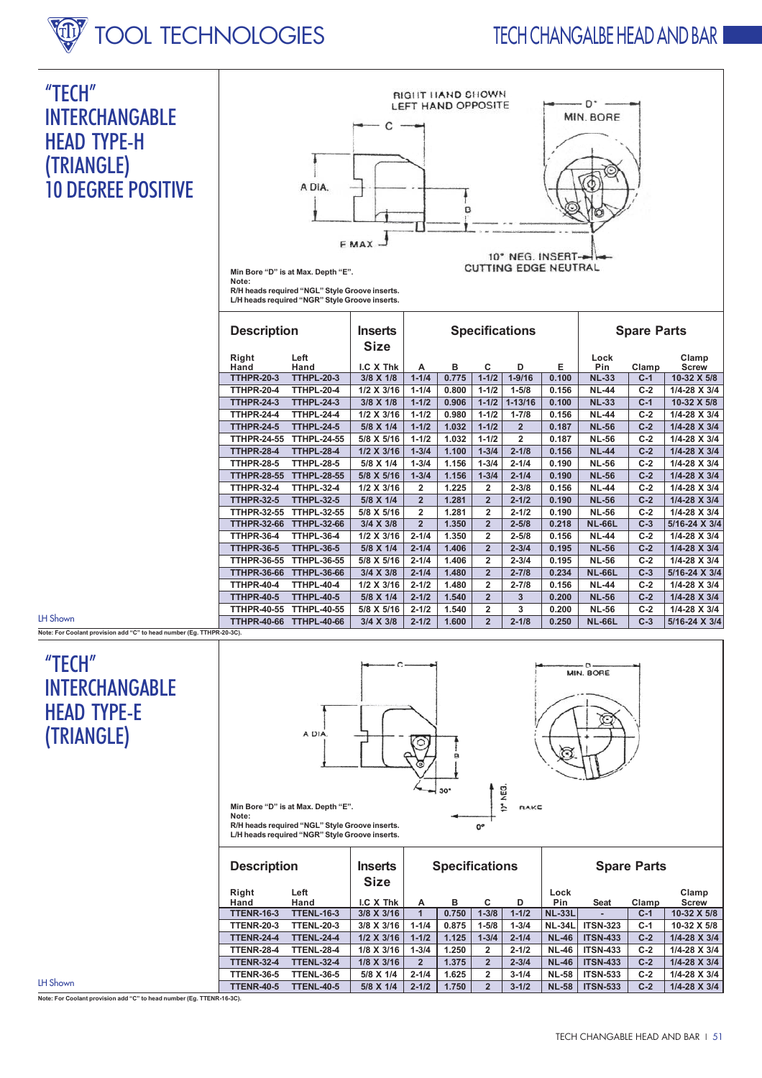## **W** TOOL TECHNOLOGIES

## **TECH CHANGAIBE HEAD AND BAR**

## "TECH" **INTERCHANGABLE HEAD TYPE-H** (TRIANGLE) **10 DEGREE POSITIVE**



Min Bore "D" is at Max. Depth "E". Note:

note.<br>R/H heads required "NGL" Style Groove inserts.<br>L/H heads required "NGR" Style Groove inserts.

| <b>Description</b>                 |                           | <b>Inserts</b><br><b>Size</b> |                |       |                | <b>Specifications</b> |       | <b>Spare Parts</b> |       |               |  |
|------------------------------------|---------------------------|-------------------------------|----------------|-------|----------------|-----------------------|-------|--------------------|-------|---------------|--|
| Right                              | Left                      |                               |                |       |                |                       |       | Lock               |       | Clamp         |  |
| Hand<br><b>TTHPR-20-3</b>          | Hand<br><b>TTHPL-20-3</b> | I.C X Thk                     | А              | в     | C<br>$1 - 1/2$ | D<br>$1 - 9/16$       | Е     | Pin                | Clamp | <b>Screw</b>  |  |
|                                    |                           | 3/8 X 1/8                     | $1 - 1/4$      | 0.775 |                |                       | 0.100 | <b>NL-33</b>       | $C-1$ | 10-32 X 5/8   |  |
| <b>TTHPR-20-4</b>                  | <b>TTHPL-20-4</b>         | 1/2 X 3/16                    | $1 - 1/4$      | 0.800 | $1 - 1/2$      | $1 - 5/8$             | 0.156 | <b>NL-44</b>       | $C-2$ | 1/4-28 X 3/4  |  |
| <b>TTHPR-24-3</b>                  | <b>TTHPL-24-3</b>         | 3/8 X 1/8                     | $1 - 1/2$      | 0.906 | $1 - 1/2$      | $1 - 13/16$           | 0.100 | <b>NL-33</b>       | $C-1$ | 10-32 X 5/8   |  |
| <b>TTHPR-24-4</b>                  | <b>TTHPL-24-4</b>         | 1/2 X 3/16                    | $1 - 1/2$      | 0.980 | $1 - 1/2$      | $1 - 7/8$             | 0.156 | <b>NL-44</b>       | $C-2$ | 1/4-28 X 3/4  |  |
| <b>TTHPR-24-5</b>                  | <b>TTHPL-24-5</b>         | 5/8 X 1/4                     | $1 - 1/2$      | 1.032 | $1 - 1/2$      | $\overline{2}$        | 0.187 | <b>NL-56</b>       | $C-2$ | 1/4-28 X 3/4  |  |
| <b>TTHPR-24-55</b>                 | <b>TTHPL-24-55</b>        | 5/8 X 5/16                    | $1 - 1/2$      | 1.032 | $1 - 1/2$      | $\overline{2}$        | 0.187 | <b>NL-56</b>       | $C-2$ | 1/4-28 X 3/4  |  |
| <b>TTHPR-28-4</b>                  | <b>TTHPL-28-4</b>         | 1/2 X 3/16                    | $1 - 3/4$      | 1.100 | $1 - 3/4$      | $2 - 1/8$             | 0.156 | <b>NL-44</b>       | $C-2$ | 1/4-28 X 3/4  |  |
| <b>TTHPR-28-5</b>                  | <b>TTHPL-28-5</b>         | 5/8 X 1/4                     | $1 - 3/4$      | 1.156 | $1 - 3/4$      | $2 - 1/4$             | 0.190 | <b>NL-56</b>       | $C-2$ | 1/4-28 X 3/4  |  |
| <b>TTHPR-28-55</b>                 | <b>TTHPL-28-55</b>        | 5/8 X 5/16                    | $1 - 3/4$      | 1.156 | $1 - 3/4$      | $2 - 1/4$             | 0.190 | <b>NL-56</b>       | $C-2$ | 1/4-28 X 3/4  |  |
| <b>TTHPR-32-4</b>                  | <b>TTHPL-32-4</b>         | 1/2 X 3/16                    | $\overline{2}$ | 1.225 | $\overline{2}$ | $2 - 3/8$             | 0.156 | <b>NL-44</b>       | $C-2$ | 1/4-28 X 3/4  |  |
| <b>TTHPR-32-5</b>                  | <b>TTHPL-32-5</b>         | 5/8 X 1/4                     | $\overline{2}$ | 1.281 | $\overline{2}$ | $2 - 1/2$             | 0.190 | <b>NL-56</b>       | $C-2$ | 1/4-28 X 3/4  |  |
| <b>TTHPR-32-55</b>                 | <b>TTHPL-32-55</b>        | 5/8 X 5/16                    | $\overline{2}$ | 1.281 | $\overline{2}$ | $2 - 1/2$             | 0.190 | <b>NL-56</b>       | $C-2$ | 1/4-28 X 3/4  |  |
| <b>TTHPR-32-66</b>                 | <b>TTHPL-32-66</b>        | 3/4 X 3/8                     | $\overline{2}$ | 1.350 | $\overline{2}$ | $2 - 5/8$             | 0.218 | <b>NL-66L</b>      | $C-3$ | 5/16-24 X 3/4 |  |
| <b>TTHPR-36-4</b>                  | <b>TTHPL-36-4</b>         | 1/2 X 3/16                    | $2 - 1/4$      | 1.350 | $\overline{2}$ | $2 - 5/8$             | 0.156 | <b>NL-44</b>       | $C-2$ | 1/4-28 X 3/4  |  |
| <b>TTHPR-36-5</b>                  | <b>TTHPL-36-5</b>         | 5/8 X 1/4                     | $2 - 1/4$      | 1.406 | $\overline{2}$ | $2 - 3/4$             | 0.195 | <b>NL-56</b>       | $C-2$ | 1/4-28 X 3/4  |  |
| <b>TTHPR-36-55</b>                 | <b>TTHPL-36-55</b>        | 5/8 X 5/16                    | $2 - 1/4$      | 1.406 | $\overline{2}$ | $2 - 3/4$             | 0.195 | <b>NL-56</b>       | $C-2$ | 1/4-28 X 3/4  |  |
| <b>TTHPR-36-66</b>                 | <b>TTHPL-36-66</b>        | 3/4 X 3/8                     | $2 - 1/4$      | 1.480 | $\overline{2}$ | $2 - 7/8$             | 0.234 | <b>NL-66L</b>      | $C-3$ | 5/16-24 X 3/4 |  |
| <b>TTHPR-40-4</b>                  | <b>TTHPL-40-4</b>         | 1/2 X 3/16                    | $2 - 1/2$      | 1.480 | $\overline{2}$ | $2 - 7/8$             | 0.156 | <b>NL-44</b>       | $C-2$ | 1/4-28 X 3/4  |  |
| <b>TTHPR-40-5</b>                  | <b>TTHPL-40-5</b>         | 5/8 X 1/4                     | $2 - 1/2$      | 1.540 | $\overline{2}$ | 3                     | 0.200 | <b>NL-56</b>       | $C-2$ | 1/4-28 X 3/4  |  |
| <b>TTHPR-40-55</b>                 | <b>TTHPL-40-55</b>        | 5/8 X 5/16                    | $2 - 1/2$      | 1.540 | $\overline{2}$ | 3                     | 0.200 | <b>NL-56</b>       | $C-2$ | 1/4-28 X 3/4  |  |
| <b>TTHPR-40-66</b><br>$R_{\alpha}$ | <b>TTHPL-40-66</b>        | 3/4 X 3/8                     | $2 - 1/2$      | 1.600 | $\overline{2}$ | $2 - 1/8$             | 0.250 | <b>NL-66L</b>      | $C-3$ | 5/16-24 X 3/4 |  |

LH Shown

Note: For Coolant provision add "C" to head number (Eg. TTHP)

## "TECH" **INTERCHANGARIF HFAD TYPF-F** (TRIANGLE)



MIN. BORE **BAKE** 

Min Bore "D" is at Max. Depth "E".

Note:

**R/H heads required "NGL" Style Groove inserts.**<br>L/H heads required "NGR" Style Groove inserts.

| <b>Description</b> |                   | <b>Inserts</b><br><b>Size</b> |              | <b>Specifications</b> |                |           | <b>Spare Parts</b> |                 |       |                       |
|--------------------|-------------------|-------------------------------|--------------|-----------------------|----------------|-----------|--------------------|-----------------|-------|-----------------------|
| Right              | Left              |                               |              |                       |                |           | Lock               |                 |       | Clamp                 |
| Hand               | Hand              | I.C X Thk                     | A            | в                     | c              | D         | Pin                | Seat            | Clamp | <b>Screw</b>          |
| <b>TTENR-16-3</b>  | <b>TTENL-16-3</b> | 3/8 X 3/16                    |              | 0.750                 | $1 - 3/8$      | $1 - 1/2$ | <b>NL-33L</b>      |                 | $C-1$ | 10-32 X 5/8           |
| <b>TTENR-20-3</b>  | <b>TTENL-20-3</b> | 3/8 X 3/16                    | $1 - 1/4$    | 0.875                 | $1 - 5/8$      | $1 - 3/4$ | <b>NL-34L</b>      | <b>ITSN-323</b> | $C-1$ | 10-32 X 5/8           |
| <b>TTENR-24-4</b>  | <b>TTENL-24-4</b> | 1/2 X 3/16                    | $1 - 1/2$    | 1.125                 | $1 - 3/4$      | $2 - 1/4$ | <b>NL-46</b>       | <b>ITSN-433</b> | $C-2$ | $1/4 - 28 \times 3/4$ |
| <b>TTENR-28-4</b>  | <b>TTENL-28-4</b> | 1/8 X 3/16                    | $1 - 3/4$    | 1.250                 | $\overline{2}$ | $2 - 1/2$ | <b>NL-46</b>       | <b>ITSN-433</b> | $C-2$ | 1/4-28 X 3/4          |
| <b>TTENR-32-4</b>  | <b>TTENL-32-4</b> | 1/8 X 3/16                    | $\mathbf{2}$ | 1.375                 | $\overline{2}$ | $2 - 3/4$ | <b>NL-46</b>       | <b>ITSN-433</b> | $C-2$ | 1/4-28 X 3/4          |
| <b>TTENR-36-5</b>  | <b>TTENL-36-5</b> | 5/8 X 1/4                     | $2 - 1/4$    | 1.625                 | $\overline{2}$ | $3 - 1/4$ | <b>NL-58</b>       | <b>ITSN-533</b> | $C-2$ | 1/4-28 X 3/4          |
| <b>TTENR-40-5</b>  | <b>TTENL-40-5</b> | 5/8 X 1/4                     | $2 - 1/2$    | 1.750                 | $\overline{2}$ | $3 - 1/2$ | <b>NL-58</b>       | <b>ITSN-533</b> | $C-2$ | $1/4 - 28 \times 3/4$ |

 $\alpha^{\circ}$ 

yEg  $\frac{2}{5}$ 

LH Shown

Note: For Coolant provision add "C" to head number (Eg. TTENR-16-3C).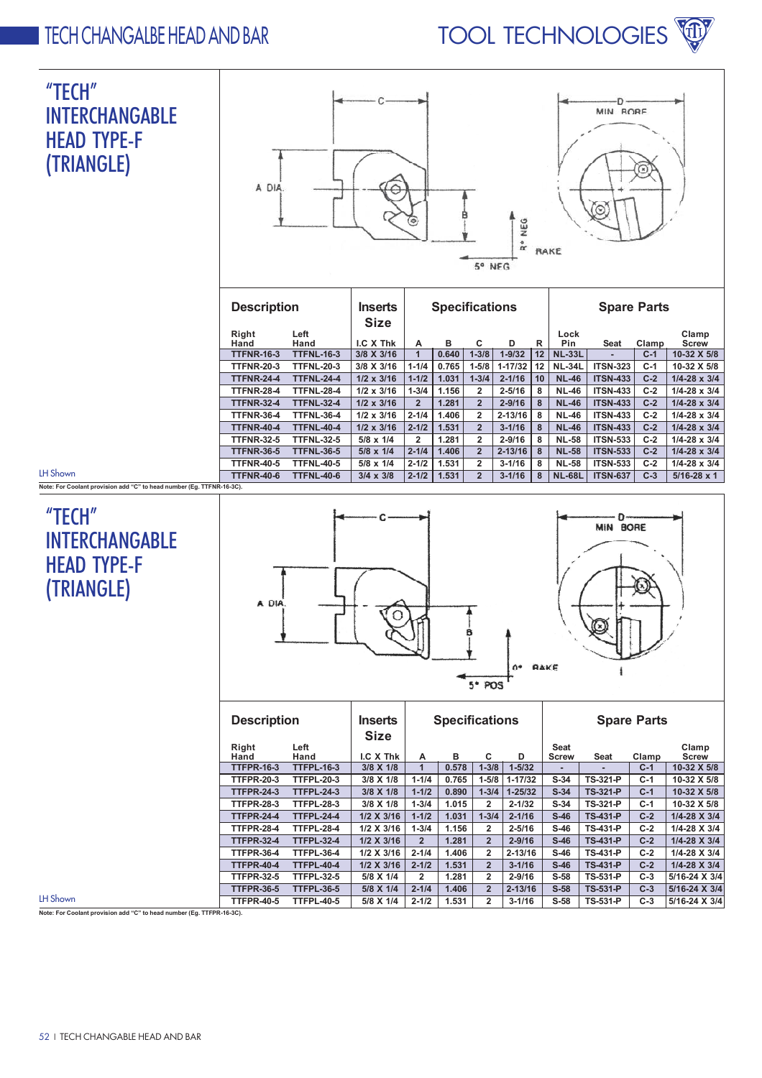



|                                       | <b>TTFNR-24-4</b> | <b>TTFNL-24-4</b> | $1/2 \times 3/16$ | $1 - 1/2$ | 1.031 | $1 - 3/4$      | $2 - 1/16$  | 10 | <b>NL-46</b>  | <b>ITSN-433</b> | $C-2$ | $1/4 - 28 \times 3/4$ |
|---------------------------------------|-------------------|-------------------|-------------------|-----------|-------|----------------|-------------|----|---------------|-----------------|-------|-----------------------|
|                                       | <b>TTFNR-28-4</b> | <b>TTFNL-28-4</b> | $1/2 \times 3/16$ | $1 - 3/4$ | 1.156 |                | $2 - 5/16$  | 8  | <b>NL-46</b>  | <b>ITSN-433</b> | $C-2$ | $1/4 - 28 \times 3/4$ |
|                                       | <b>TTFNR-32-4</b> | <b>TTFNL-32-4</b> | $1/2 \times 3/16$ | 2         | 1.281 | $\overline{2}$ | $2 - 9/16$  | 8  | <b>NL-46</b>  | <b>ITSN-433</b> | $C-2$ | $1/4 - 28 \times 3/4$ |
|                                       | <b>TTFNR-36-4</b> | <b>TTFNL-36-4</b> | $1/2 \times 3/16$ | $2 - 1/4$ | 1.406 |                | $2 - 13/16$ | 8  | <b>NL-46</b>  | <b>ITSN-433</b> | $C-2$ | $1/4 - 28 \times 3/4$ |
|                                       | <b>TTFNR-40-4</b> | <b>TTFNL-40-4</b> | $1/2 \times 3/16$ | $2 - 1/2$ | 1.531 |                | $3 - 1/16$  | 8  | <b>NL-46</b>  | <b>ITSN-433</b> | $C-2$ | $1/4 - 28 \times 3/4$ |
|                                       | <b>TTFNR-32-5</b> | <b>TTFNL-32-5</b> | $5/8 \times 1/4$  | 2         | 1.281 |                | $2 - 9/16$  | 8  | <b>NL-58</b>  | <b>ITSN-533</b> | $C-2$ | $1/4 - 28 \times 3/4$ |
|                                       | <b>TTFNR-36-5</b> | <b>TTFNL-36-5</b> | $5/8 \times 1/4$  | $2 - 1/4$ | 1.406 |                | $2 - 13/16$ | 8  | <b>NL-58</b>  | <b>ITSN-533</b> | $C-2$ | $1/4 - 28 \times 3/4$ |
|                                       | <b>TTFNR-40-5</b> | <b>TTFNL-40-5</b> | $5/8 \times 1/4$  | $2 - 1/2$ | 1.531 | 2              | $3 - 1/16$  | 8  | <b>NL-58</b>  | <b>ITSN-533</b> | $C-2$ | $1/4 - 28 \times 3/4$ |
|                                       | <b>TTFNR-40-6</b> | <b>TTFNL-40-6</b> | $3/4 \times 3/8$  | $2 - 1/2$ | 1.531 | $\overline{2}$ | $3 - 1/16$  | 8  | <b>NL-68L</b> | <b>ITSN-637</b> | $C-3$ | $5/16 - 28 \times 1$  |
| "C" to head number (Eq. TTFNR-16-3C). |                   |                   |                   |           |       |                |             |    |               |                 |       |                       |

#### $"$ TECH $"$ INTERCHANGABLE HEAD TYPE-F (TRIANGLE)

Note: For Coolant provision add

**IH** Shown

LH Shown



| <b>Description</b> |                   | <b>Inserts</b><br><b>Size</b> |                | <b>Specifications</b> |                |             | <b>Spare Parts</b> |                 |       |               |  |
|--------------------|-------------------|-------------------------------|----------------|-----------------------|----------------|-------------|--------------------|-----------------|-------|---------------|--|
| Right              | Left              |                               |                |                       |                |             | <b>Seat</b>        |                 |       | Clamp         |  |
| Hand               | Hand              | I.C X Thk                     | A              | в                     | C              | D           | <b>Screw</b>       | Seat            | Clamp | <b>Screw</b>  |  |
| <b>TTFPR-16-3</b>  | <b>TTFPL-16-3</b> | $3/8 \times 1/8$              | 1              | 0.578                 | $1 - 3/8$      | $1 - 5/32$  | -                  |                 | $C-1$ | 10-32 X 5/8   |  |
| <b>TTFPR-20-3</b>  | <b>TTFPL-20-3</b> | 3/8 X 1/8                     | $1 - 1/4$      | 0.765                 | $1 - 5/8$      | $1 - 17/32$ | $S-34$             | <b>TS-321-P</b> | $C-1$ | 10-32 X 5/8   |  |
| <b>TTFPR-24-3</b>  | <b>TTFPL-24-3</b> | 3/8 X 1/8                     | $1 - 1/2$      | 0.890                 | $1 - 3/4$      | $1 - 25/32$ | $S-34$             | <b>TS-321-P</b> | $C-1$ | 10-32 X 5/8   |  |
| <b>TTFPR-28-3</b>  | <b>TTFPL-28-3</b> | $3/8 \times 1/8$              | $1 - 3/4$      | 1.015                 | $\overline{2}$ | $2 - 1/32$  | $S-34$             | TS-321-P        | $C-1$ | 10-32 X 5/8   |  |
| <b>TTFPR-24-4</b>  | <b>TTFPL-24-4</b> | $1/2$ X $3/16$                | $1 - 1/2$      | 1.031                 | $1 - 3/4$      | $2 - 1/16$  | $S-46$             | <b>TS-431-P</b> | $C-2$ | 1/4-28 X 3/4  |  |
| <b>TTFPR-28-4</b>  | <b>TTFPL-28-4</b> | 1/2 X 3/16                    | $1 - 3/4$      | 1.156                 | $\overline{2}$ | $2 - 5/16$  | $S-46$             | <b>TS-431-P</b> | $C-2$ | 1/4-28 X 3/4  |  |
| <b>TTFPR-32-4</b>  | <b>TTFPL-32-4</b> | $1/2$ X $3/16$                | $\overline{2}$ | 1.281                 | $\overline{2}$ | $2 - 9/16$  | $S-46$             | <b>TS-431-P</b> | $C-2$ | 1/4-28 X 3/4  |  |
| <b>TTFPR-36-4</b>  | <b>TTFPL-36-4</b> | 1/2 X 3/16                    | $2 - 1/4$      | 1.406                 | $\overline{2}$ | $2 - 13/16$ | $S-46$             | TS-431-P        | $C-2$ | 1/4-28 X 3/4  |  |
| <b>TTFPR-40-4</b>  | <b>TTFPL-40-4</b> | 1/2 X 3/16                    | $2 - 1/2$      | 1.531                 | $\overline{2}$ | $3 - 1/16$  | $S-46$             | <b>TS-431-P</b> | $C-2$ | 1/4-28 X 3/4  |  |
| <b>TTFPR-32-5</b>  | <b>TTFPL-32-5</b> | 5/8 X 1/4                     | $\overline{2}$ | 1.281                 | $\overline{2}$ | $2 - 9/16$  | $S-58$             | <b>TS-531-P</b> | $C-3$ | 5/16-24 X 3/4 |  |
| <b>TTFPR-36-5</b>  | <b>TTFPL-36-5</b> | 5/8 X 1/4                     | $2 - 1/4$      | 1.406                 | $\overline{2}$ | $2 - 13/16$ | $S-58$             | <b>TS-531-P</b> | $C-3$ | 5/16-24 X 3/4 |  |
| <b>TTFPR-40-5</b>  | <b>TTFPL-40-5</b> | 5/8 X 1/4                     | $2 - 1/2$      | 1.531                 | $\overline{2}$ | $3 - 1/16$  | $S-58$             | <b>TS-531-P</b> | $C-3$ | 5/16-24 X 3/4 |  |

Note: For Coolant provision add "C" to head number (Eg. TTFPR-16-3C).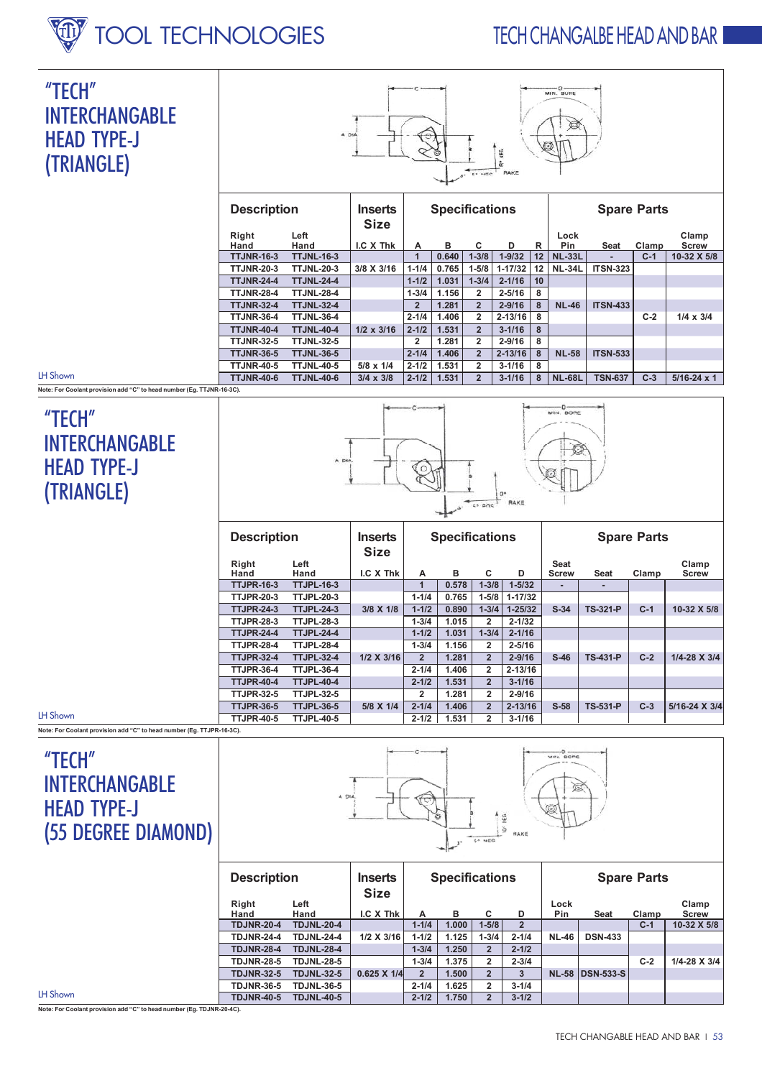## **INDER INDER TOOL TECHNOLOGIES**





|                                                                       | <b>Description</b>        |                   | <b>Inserts</b><br><b>Size</b> | <b>Specifications</b> |            |                |               | <b>Spare Parts</b>   |                      |                        |                |                             |
|-----------------------------------------------------------------------|---------------------------|-------------------|-------------------------------|-----------------------|------------|----------------|---------------|----------------------|----------------------|------------------------|----------------|-----------------------------|
|                                                                       | Right                     | Left<br>Hand      | I.C X Thk                     |                       |            | C              | D             |                      | Lock                 |                        |                | Clamp                       |
|                                                                       | Hand<br><b>TTJNR-16-3</b> | <b>TTJNL-16-3</b> |                               | A                     | в<br>0.640 | $1 - 3/8$      | $1 - 9/32$    | R<br>12 <sub>1</sub> | Pin<br><b>NL-33L</b> | Seat<br>$\overline{a}$ | Clamp<br>$C-1$ | <b>Screw</b><br>10-32 X 5/8 |
|                                                                       | <b>TTJNR-20-3</b>         | <b>TTJNL-20-3</b> | 3/8 X 3/16                    | $1 - 1/4$             | 0.765      | $1 - 5/8$      | $1 - 17/32$   | 12 I                 | $NL-34L$             | <b>ITSN-323</b>        |                |                             |
|                                                                       | <b>TTJNR-24-4</b>         | <b>TTJNL-24-4</b> |                               | $1 - 1/2$             | 1.031      | $1 - 3/4$      | $2 - 1/16$    | $ 10\rangle$         |                      |                        |                |                             |
|                                                                       | <b>TTJNR-28-4</b>         | <b>TTJNL-28-4</b> |                               | $1 - 3/4$             | 1.156      | $\overline{2}$ | $2 - 5/16$    | 8                    |                      |                        |                |                             |
|                                                                       | <b>TTJNR-32-4</b>         | <b>TTJNL-32-4</b> |                               | $\mathbf{2}$          | 1.281      | $\overline{2}$ | $2 - 9/16$    | 8                    | <b>NL-46</b>         | <b>ITSN-433</b>        |                |                             |
|                                                                       | <b>TTJNR-36-4</b>         | <b>TTJNL-36-4</b> |                               | $2 - 1/4$             | 1.406      | $\mathbf{2}$   | $2 - 13/16$ 8 |                      |                      |                        | $C-2$          | $1/4 \times 3/4$            |
|                                                                       | <b>TTJNR-40-4</b>         | <b>TTJNL-40-4</b> | $1/2 \times 3/16$             | $2 - 1/2$             | 1.531      | $\overline{2}$ | $3 - 1/16$    | 8                    |                      |                        |                |                             |
|                                                                       | <b>TTJNR-32-5</b>         | <b>TTJNL-32-5</b> |                               | 2                     | 1.281      | $\overline{2}$ | $2 - 9/16$    | 8                    |                      |                        |                |                             |
|                                                                       | <b>TTJNR-36-5</b>         | <b>TTJNL-36-5</b> |                               | $2 - 1/4$             | 1.406      | $\overline{2}$ | $2 - 13/16$ 8 |                      | <b>NL-58</b>         | <b>ITSN-533</b>        |                |                             |
|                                                                       | <b>TTJNR-40-5</b>         | <b>TTJNL-40-5</b> | $5/8 \times 1/4$              | $2 - 1/2$             | 1.531      | $\overline{2}$ | $3 - 1/16$    | 8                    |                      |                        |                |                             |
| LH Shown                                                              | <b>TTJNR-40-6</b>         | <b>TTJNL-40-6</b> | $3/4 \times 3/8$              | $2 - 1/2$             | 1.531      | $\overline{2}$ | $3 - 1/16$    | 8                    | <b>NL-68L</b>        | <b>TSN-637</b>         | $C-3$          | $5/16 - 24 \times 1$        |
| Note: For Coolant provision add "C" to head number (Eg. TTJNR-16-3C). |                           |                   |                               |                       |            |                |               |                      |                      |                        |                |                             |

## "TECH" INTERCHANGABLE HEAD TYPE-J (TRIANGLE)

LH Shown

LH Shown



| <b>Description</b> |                   | <b>Inserts</b><br><b>Size</b> |                | <b>Specifications</b> |                |             | <b>Spare Parts</b> |                 |       |               |
|--------------------|-------------------|-------------------------------|----------------|-----------------------|----------------|-------------|--------------------|-----------------|-------|---------------|
| Right              | Left              |                               |                |                       |                |             | <b>Seat</b>        |                 |       | Clamp         |
| Hand               | Hand              | I.C X Thk                     | A              | в                     | C              | D           | <b>Screw</b>       | Seat            | Clamp | <b>Screw</b>  |
| <b>TTJPR-16-3</b>  | <b>TTJPL-16-3</b> |                               | 1              | 0.578                 | $1 - 3/8$      | $1 - 5/32$  |                    |                 |       |               |
| <b>TTJPR-20-3</b>  | <b>TTJPL-20-3</b> |                               | $1 - 1/4$      | 0.765                 | $1 - 5/8$      | $1 - 17/32$ |                    |                 |       |               |
| <b>TTJPR-24-3</b>  | <b>TTJPL-24-3</b> | 3/8 X 1/8                     | $1 - 1/2$      | 0.890                 | $1 - 3/4$      | $1 - 25/32$ | $S-34$             | <b>TS-321-P</b> | $C-1$ | 10-32 X 5/8   |
| <b>TTJPR-28-3</b>  | <b>TTJPL-28-3</b> |                               | $1 - 3/4$      | 1.015                 | $\overline{2}$ | $2 - 1/32$  |                    |                 |       |               |
| <b>TTJPR-24-4</b>  | <b>TTJPL-24-4</b> |                               | $1 - 1/2$      | 1.031                 | $1 - 3/4$      | $2 - 1/16$  |                    |                 |       |               |
| <b>TTJPR-28-4</b>  | <b>TTJPL-28-4</b> |                               | $1 - 3/4$      | 1.156                 | $\overline{2}$ | $2 - 5/16$  |                    |                 |       |               |
| <b>TTJPR-32-4</b>  | <b>TTJPL-32-4</b> | $1/2$ X $3/16$                | $\overline{2}$ | 1.281                 | $\overline{2}$ | $2 - 9/16$  | $S-46$             | <b>TS-431-P</b> | $C-2$ | 1/4-28 X 3/4  |
| <b>TTJPR-36-4</b>  | <b>TTJPL-36-4</b> |                               | $2 - 1/4$      | 1.406                 | $\overline{2}$ | $2 - 13/16$ |                    |                 |       |               |
| <b>TTJPR-40-4</b>  | <b>TTJPL-40-4</b> |                               | $2 - 1/2$      | 1.531                 | $\overline{2}$ | $3 - 1/16$  |                    |                 |       |               |
| <b>TTJPR-32-5</b>  | <b>TTJPL-32-5</b> |                               | 2              | 1.281                 | $\overline{2}$ | $2 - 9/16$  |                    |                 |       |               |
| <b>TTJPR-36-5</b>  | <b>TTJPL-36-5</b> | 5/8 X 1/4                     | $2 - 1/4$      | 1.406                 | $\overline{2}$ | $2 - 13/16$ | $S-58$             | <b>TS-531-P</b> | $C-3$ | 5/16-24 X 3/4 |
| <b>TTJPR-40-5</b>  | <b>TTJPL-40-5</b> |                               | $2 - 1/2$      | 1.531                 | $\mathbf{2}$   | $3 - 1/16$  |                    |                 |       |               |

Note: For Coolant provision add "C" to head number (Eg. TTJPR-16-3C).

#### "TECH" INTERCHANGABLE HEAD TYPE-J (55 DEGREE DIAMOND)



|          |                   | <b>Description</b><br><b>Inserts</b><br><b>Size</b> |                    |                | <b>Specifications</b> |              |              | <b>Spare Parts</b> |                        |       |                       |
|----------|-------------------|-----------------------------------------------------|--------------------|----------------|-----------------------|--------------|--------------|--------------------|------------------------|-------|-----------------------|
|          | Right<br>Hand     | Left<br>Hand                                        | I.C X Thk          | А              | в                     | С            | D            | Lock<br>Pin        | Seat                   | Clamp | Clamp<br><b>Screw</b> |
|          | <b>TDJNR-20-4</b> | <b>TDJNL-20-4</b>                                   |                    | $1 - 1/4$      | 1.000                 | $1 - 5/8$    | $\mathbf{2}$ |                    |                        | $C-1$ | 10-32 X 5/8           |
|          | <b>TDJNR-24-4</b> | <b>TDJNL-24-4</b>                                   | $1/2$ X 3/16       | $1 - 1/2$      | 1.125                 | $1 - 3/4$    | $2 - 1/4$    | <b>NL-46</b>       | <b>DSN-433</b>         |       |                       |
|          | <b>TDJNR-28-4</b> | <b>TDJNL-28-4</b>                                   |                    | $1 - 3/4$      | 1.250                 | $\mathbf{2}$ | $2 - 1/2$    |                    |                        |       |                       |
|          | <b>TDJNR-28-5</b> | <b>TDJNL-28-5</b>                                   |                    | $1 - 3/4$      | 1.375                 | 2            | $2 - 3/4$    |                    |                        | $C-2$ | 1/4-28 X 3/4          |
|          | <b>TDJNR-32-5</b> | <b>TDJNL-32-5</b>                                   | $0.625 \times 1/4$ | $\overline{2}$ | 1.500                 |              |              |                    | <b>NL-58 DSN-533-S</b> |       |                       |
|          | <b>TDJNR-36-5</b> | <b>TDJNL-36-5</b>                                   |                    | $2 - 1/4$      | 1.625                 | 2            | $3 - 1/4$    |                    |                        |       |                       |
| LH Shown | <b>TDJNR-40-5</b> | <b>TDJNL-40-5</b>                                   |                    | $2 - 1/2$      | 1.750                 | $\mathbf{2}$ | $3 - 1/2$    |                    |                        |       |                       |

Note: For Coolant provision add "C" to head number (Eg. TDJNR-20-4C).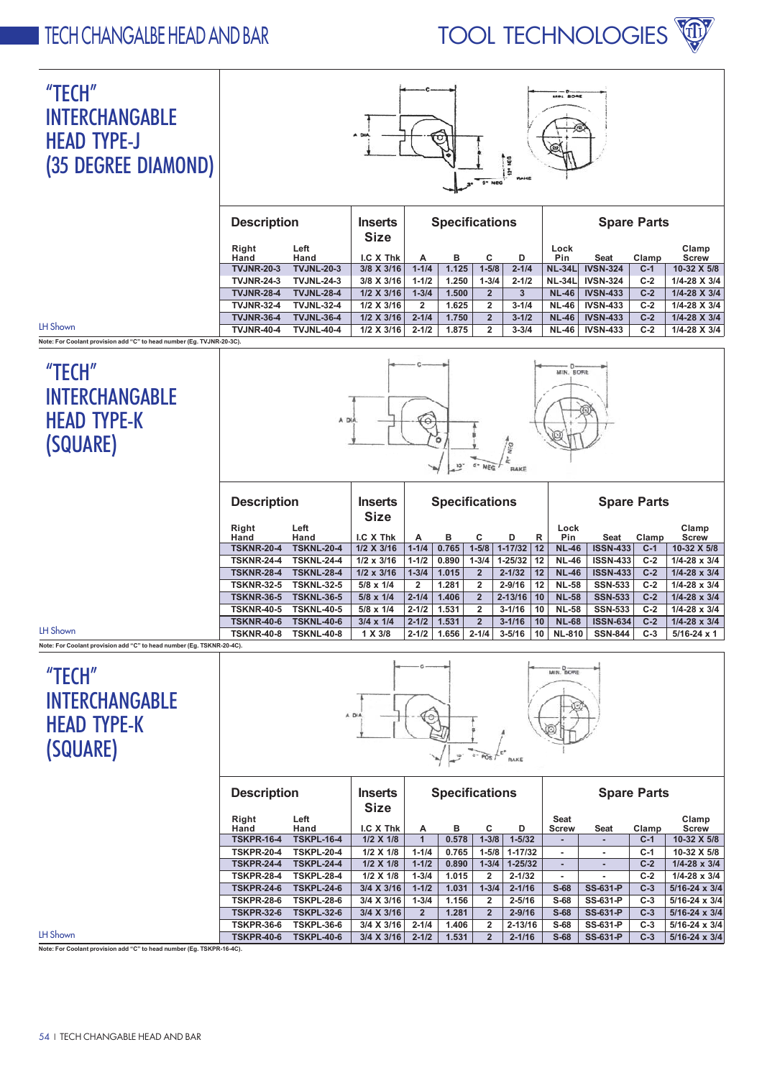## TECH CHANGALBE HEAD AND BAR TOOL TECHNOLOGIES

#### "TECH" INTERCHANGABLE HEAD TYPE-J (35 DEGREE DIAMOND)



| <b>Description</b> |                   | <b>Inserts</b><br><b>Size</b> |                | <b>Specifications</b> |                |           |                |                 | <b>Spare Parts</b> |                       |
|--------------------|-------------------|-------------------------------|----------------|-----------------------|----------------|-----------|----------------|-----------------|--------------------|-----------------------|
| Right<br>Hand      | Left<br>Hand      | $LC$ X Thk                    | A              | в                     | C              | D         | Lock<br>Pin    | Seat            | Clamp              | Clamp<br><b>Screw</b> |
| <b>TVJNR-20-3</b>  | <b>TVJNL-20-3</b> | $3/8$ X $3/16$                | $1 - 1/4$      | 1.125                 | $1 - 5/8$      | $2 - 1/4$ | <b>NL-34LI</b> | <b>IVSN-324</b> | $C-1$              | 10-32 X 5/8           |
| <b>TVJNR-24-3</b>  | <b>TVJNL-24-3</b> | 3/8 X 3/16                    | $1 - 1/2$      | 1.250                 | $1 - 3/4$      | $2 - 1/2$ | <b>NL-34L</b>  | <b>IVSN-324</b> | $C-2$              | 1/4-28 X 3/4          |
| <b>TVJNR-28-4</b>  | <b>TVJNL-28-4</b> | $1/2 \times 3/16$             | $1 - 3/4$      | 1.500                 | $\mathbf{2}$   | 3         | <b>NL-46</b>   | <b>IVSN-433</b> | $C-2$              | $1/4 - 28 \times 3/4$ |
| <b>TVJNR-32-4</b>  | <b>TVJNL-32-4</b> | $1/2$ X 3/16                  | $\overline{2}$ | .625                  | 2              | $3 - 1/4$ | <b>NL-46</b>   | <b>IVSN-433</b> | $C-2$              | 1/4-28 X 3/4          |
| <b>TVJNR-36-4</b>  | <b>TVJNL-36-4</b> | $1/2$ X 3/16                  | $2 - 1/4$      | 1.750                 | $\overline{2}$ | $3 - 1/2$ | <b>NL-46</b>   | <b>IVSN-433</b> | $C-2$              | 1/4-28 X 3/4          |
| <b>TVJNR-40-4</b>  | <b>TVJNL-40-4</b> | 1/2 X 3/16                    | $2 - 1/2$      | 1.875                 | $\overline{2}$ | $3 - 3/4$ | <b>NL-46</b>   | <b>IVSN-433</b> | $C-2$              | $1/4 - 28 \times 3/4$ |
|                    |                   |                               |                |                       |                |           |                |                 |                    |                       |

Note: For Coolant provision add "C" to head number (Eg. TVJNR-20-3C).

## "TECH" INTERCHANGABLE HEAD TYPE-K (SQUARE)

LH Shown

LH Shown

LH Shown



| <b>Description</b> |                   | <b>Inserts</b><br><b>Size</b> |                | <b>Specifications</b> |                |             |    |               | <b>Spare Parts</b> |       |                       |
|--------------------|-------------------|-------------------------------|----------------|-----------------------|----------------|-------------|----|---------------|--------------------|-------|-----------------------|
| Right              | Left              |                               |                |                       |                |             |    | Lock          |                    |       | Clamp                 |
| Hand               | Hand              | I.C X Thk                     | A              | в                     | С              | D           | R  | Pin           | Seat               | Clamp | <b>Screw</b>          |
| <b>TSKNR-20-4</b>  | <b>TSKNL-20-4</b> | $1/2$ X $3/16$                | $1 - 1/4$      | 0.765                 | $1 - 5/8$      | $1 - 17/32$ | 12 | <b>NL-46</b>  | <b>ISSN-433</b>    | $C-1$ | 10-32 X 5/8           |
| <b>TSKNR-24-4</b>  | <b>TSKNL-24-4</b> | $1/2 \times 3/16$             | $1 - 1/2$      | 0.890                 | $1 - 3/4$      | $1 - 25/32$ | 12 | <b>NL-46</b>  | <b>ISSN-433</b>    | $C-2$ | $1/4 - 28 \times 3/4$ |
| <b>TSKNR-28-4</b>  | <b>TSKNL-28-4</b> | $1/2 \times 3/16$             | $1 - 3/4$      | 1.015                 | $\overline{2}$ | $2 - 1/32$  | 12 | <b>NL-46</b>  | <b>ISSN-433</b>    | $C-2$ | $1/4 - 28 \times 3/4$ |
| <b>TSKNR-32-5</b>  | <b>TSKNL-32-5</b> | $5/8 \times 1/4$              | $\overline{2}$ | 1.281                 | 2              | $2 - 9/16$  | 12 | <b>NL-58</b>  | <b>SSN-533</b>     | $C-2$ | $1/4 - 28 \times 3/4$ |
| <b>TSKNR-36-5</b>  | <b>TSKNL-36-5</b> | $5/8 \times 1/4$              | $2 - 1/4$      | 1.406                 | $\overline{2}$ | $2 - 13/16$ | 10 | <b>NL-58</b>  | <b>SSN-533</b>     | $C-2$ | $1/4 - 28 \times 3/4$ |
| <b>TSKNR-40-5</b>  | <b>TSKNL-40-5</b> | $5/8 \times 1/4$              | $2 - 1/2$      | 1.531                 | $\mathbf{2}$   | $3 - 1/16$  | 10 | <b>NL-58</b>  | <b>SSN-533</b>     | $C-2$ | $1/4 - 28 \times 3/4$ |
| <b>TSKNR-40-6</b>  | <b>TSKNL-40-6</b> | $3/4 \times 1/4$              | $2 - 1/2$      | 1.531                 | $\overline{2}$ | $3 - 1/16$  | 10 | <b>NL-68</b>  | <b>ISSN-634</b>    | $C-2$ | $1/4 - 28 \times 3/4$ |
| <b>TSKNR-40-8</b>  | <b>TSKNL-40-8</b> | 1 X 3/8                       | $2 - 1/2$      | 1.656                 | $2 - 1/4$      | $3 - 5/16$  | 10 | <b>NL-810</b> | <b>SSN-844</b>     | $C-3$ | $5/16 - 24 \times 1$  |

Note: For Coolant provision add "C" to head number (Eg. TSKNR-20-4C).

## "TECH" INTERCHANGABLE HEAD TYPE-K (SQUARE)



| <b>Description</b> |                   | <b>Inserts</b><br><b>Size</b> | <b>Specifications</b> |       |                |             |                          |                 | <b>Spare Parts</b> |                        |
|--------------------|-------------------|-------------------------------|-----------------------|-------|----------------|-------------|--------------------------|-----------------|--------------------|------------------------|
| Right              | Left              |                               |                       |       |                |             | <b>Seat</b>              |                 |                    | Clamp                  |
| Hand               | Hand              | I.C X Thk                     | A                     | в     | c              | D           | <b>Screw</b>             | Seat            | Clamp              | <b>Screw</b>           |
| <b>TSKPR-16-4</b>  | <b>TSKPL-16-4</b> | $1/2$ X $1/8$                 | 1                     | 0.578 | $1 - 3/8$      | $1 - 5/32$  |                          |                 | $C-1$              | 10-32 X 5/8            |
| <b>TSKPR-20-4</b>  | <b>TSKPL-20-4</b> | $1/2$ X $1/8$                 | $1 - 1/4$             | 0.765 | $1 - 5/8$      | $1 - 17/32$ | $\,$                     |                 | $C-1$              | 10-32 X 5/8            |
| <b>TSKPR-24-4</b>  | <b>TSKPL-24-4</b> | $1/2$ X $1/8$                 | $1 - 1/2$             | 0.890 | $1 - 3/4$      | $1 - 25/32$ | $\overline{\phantom{a}}$ |                 | $C-2$              | $1/4 - 28 \times 3/4$  |
| <b>TSKPR-28-4</b>  | <b>TSKPL-28-4</b> | $1/2$ X $1/8$                 | $1 - 3/4$             | 1.015 | $\overline{2}$ | $2 - 1/32$  | $\,$                     | ۰               | $C-2$              | $1/4 - 28 \times 3/4$  |
| <b>TSKPR-24-6</b>  | <b>TSKPL-24-6</b> | $3/4$ X $3/16$                | $1 - 1/2$             | 1.031 | $1 - 3/4$      | $2 - 1/16$  | $S-68$                   | <b>SS-631-P</b> | $C-3$              | $5/16 - 24 \times 3/4$ |
| <b>TSKPR-28-6</b>  | <b>TSKPL-28-6</b> | 3/4 X 3/16                    | $1 - 3/4$             | 1.156 | $\overline{2}$ | $2 - 5/16$  | $S-68$                   | SS-631-P        | $C-3$              | $5/16 - 24 \times 3/4$ |
| <b>TSKPR-32-6</b>  | <b>TSKPL-32-6</b> | 3/4 X 3/16                    | $\overline{2}$        | 1.281 | $\overline{2}$ | $2 - 9/16$  | $S-68$                   | SS-631-P        | $C-3$              | $5/16 - 24 \times 3/4$ |
| <b>TSKPR-36-6</b>  | <b>TSKPL-36-6</b> | 3/4 X 3/16                    | $2 - 1/4$             | 1.406 | $\overline{2}$ | $2 - 13/16$ | $S-68$                   | SS-631-P        | $C-3$              | $5/16 - 24 \times 3/4$ |
| <b>TSKPR-40-6</b>  | <b>TSKPL-40-6</b> | 3/4 X 3/16                    | $2 - 1/2$             | 1.531 | $\overline{2}$ | $2 - 1/16$  | $S-68$                   | SS-631-P        | $C-3$              | $5/16 - 24 \times 3/4$ |

Note: For Coolant provision add "C" to head number (Eg. TSKPR-16-4C).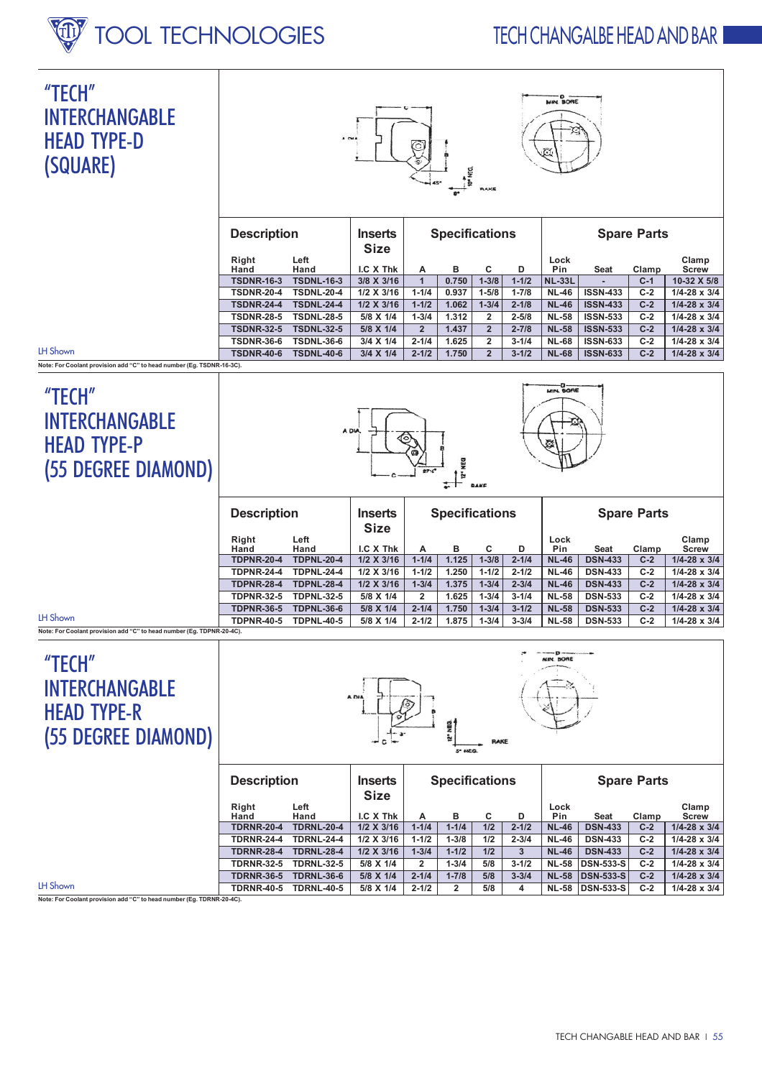# TOOL TECHNOLOGIES

## **TFCH CHANGAIRE HEAD AND BAR**